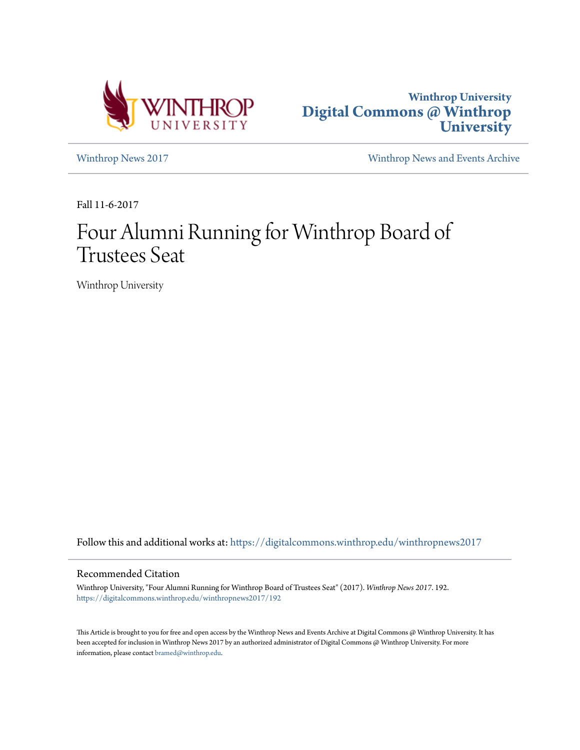



[Winthrop News 2017](https://digitalcommons.winthrop.edu/winthropnews2017?utm_source=digitalcommons.winthrop.edu%2Fwinthropnews2017%2F192&utm_medium=PDF&utm_campaign=PDFCoverPages) [Winthrop News and Events Archive](https://digitalcommons.winthrop.edu/winthropnewsarchives?utm_source=digitalcommons.winthrop.edu%2Fwinthropnews2017%2F192&utm_medium=PDF&utm_campaign=PDFCoverPages)

Fall 11-6-2017

# Four Alumni Running for Winthrop Board of Trustees Seat

Winthrop University

Follow this and additional works at: [https://digitalcommons.winthrop.edu/winthropnews2017](https://digitalcommons.winthrop.edu/winthropnews2017?utm_source=digitalcommons.winthrop.edu%2Fwinthropnews2017%2F192&utm_medium=PDF&utm_campaign=PDFCoverPages)

# Recommended Citation

Winthrop University, "Four Alumni Running for Winthrop Board of Trustees Seat" (2017). *Winthrop News 2017*. 192. [https://digitalcommons.winthrop.edu/winthropnews2017/192](https://digitalcommons.winthrop.edu/winthropnews2017/192?utm_source=digitalcommons.winthrop.edu%2Fwinthropnews2017%2F192&utm_medium=PDF&utm_campaign=PDFCoverPages)

This Article is brought to you for free and open access by the Winthrop News and Events Archive at Digital Commons @ Winthrop University. It has been accepted for inclusion in Winthrop News 2017 by an authorized administrator of Digital Commons @ Winthrop University. For more information, please contact [bramed@winthrop.edu](mailto:bramed@winthrop.edu).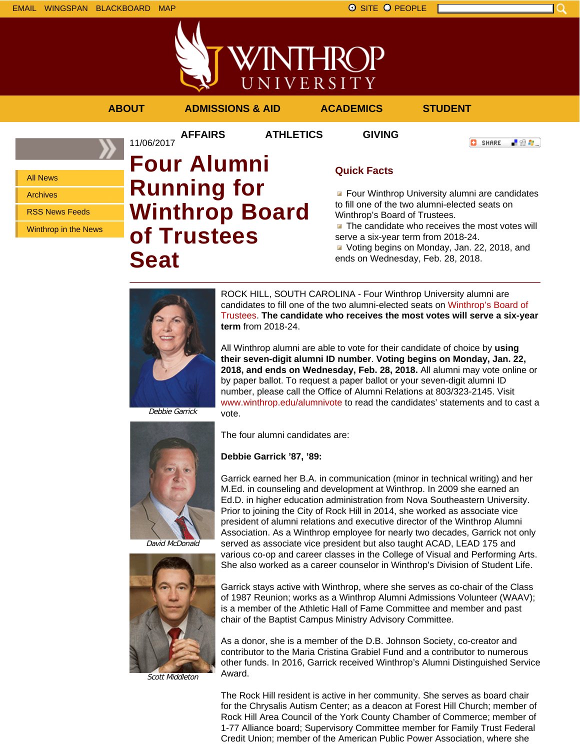**//INTHROP** UNIVERSITY

11/06/2017

**AFFAIRS ATHLETICS GIVING**

**ABOUT ADMISSIONS & AID ACADEMICS STUDENT**

**O** SHARE

上没身。

All News Archives

RSS News Feeds

Winthrop in the News

# **Four Alumni Running for Winthrop Board of Trustees Seat**

# **Quick Facts**

**Four Winthrop University alumni are candidates** to fill one of the two alumni-elected seats on Winthrop's Board of Trustees.

 $\blacksquare$  The candidate who receives the most votes will serve a six-year term from 2018-24.

Voting begins on Monday, Jan. 22, 2018, and ends on Wednesday, Feb. 28, 2018.



ROCK HILL, SOUTH CAROLINA - Four Winthrop University alumni are candidates to fill one of the two alumni-elected seats on Winthrop's Board of Trustees. **The candidate who receives the most votes will serve a six-year term** from 2018-24.

All Winthrop alumni are able to vote for their candidate of choice by **using their seven-digit alumni ID number**. **Voting begins on Monday, Jan. 22, 2018, and ends on Wednesday, Feb. 28, 2018.** All alumni may vote online or by paper ballot. To request a paper ballot or your seven-digit alumni ID number, please call the Office of Alumni Relations at 803/323-2145. Visit www.winthrop.edu/alumnivote to read the candidates' statements and to cast a vote.

Debbie Garrick



David McDonald



Scott Middleton

The four alumni candidates are:

**Debbie Garrick '87, '89:** 

Garrick earned her B.A. in communication (minor in technical writing) and her M.Ed. in counseling and development at Winthrop. In 2009 she earned an Ed.D. in higher education administration from Nova Southeastern University. Prior to joining the City of Rock Hill in 2014, she worked as associate vice president of alumni relations and executive director of the Winthrop Alumni Association. As a Winthrop employee for nearly two decades, Garrick not only served as associate vice president but also taught ACAD, LEAD 175 and various co-op and career classes in the College of Visual and Performing Arts. She also worked as a career counselor in Winthrop's Division of Student Life.

Garrick stays active with Winthrop, where she serves as co-chair of the Class of 1987 Reunion; works as a Winthrop Alumni Admissions Volunteer (WAAV); is a member of the Athletic Hall of Fame Committee and member and past chair of the Baptist Campus Ministry Advisory Committee.

As a donor, she is a member of the D.B. Johnson Society, co-creator and contributor to the Maria Cristina Grabiel Fund and a contributor to numerous other funds. In 2016, Garrick received Winthrop's Alumni Distinguished Service Award.

The Rock Hill resident is active in her community. She serves as board chair for the Chrysalis Autism Center; as a deacon at Forest Hill Church; member of Rock Hill Area Council of the York County Chamber of Commerce; member of 1-77 Alliance board; Supervisory Committee member for Family Trust Federal Credit Union; member of the American Public Power Association, where she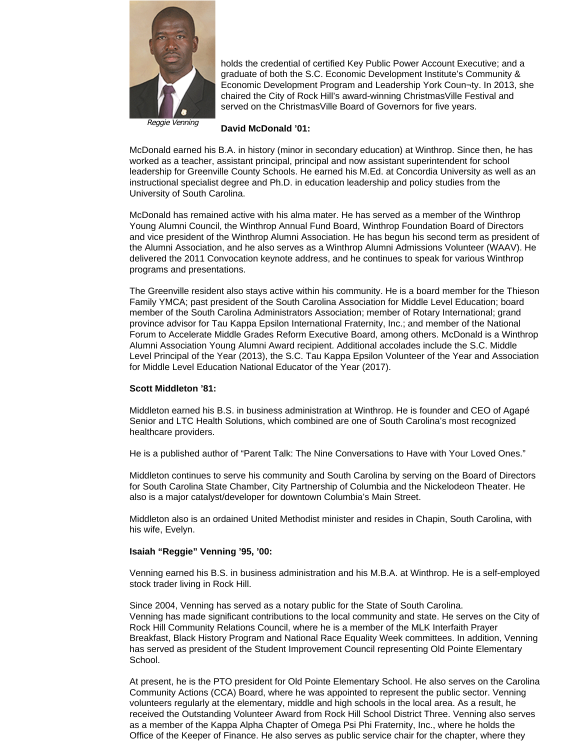

holds the credential of certified Key Public Power Account Executive; and a graduate of both the S.C. Economic Development Institute's Community & Economic Development Program and Leadership York Coun¬ty. In 2013, she chaired the City of Rock Hill's award-winning ChristmasVille Festival and served on the ChristmasVille Board of Governors for five years.

### Reggie Venning

**David McDonald '01:**

McDonald earned his B.A. in history (minor in secondary education) at Winthrop. Since then, he has worked as a teacher, assistant principal, principal and now assistant superintendent for school leadership for Greenville County Schools. He earned his M.Ed. at Concordia University as well as an instructional specialist degree and Ph.D. in education leadership and policy studies from the University of South Carolina.

McDonald has remained active with his alma mater. He has served as a member of the Winthrop Young Alumni Council, the Winthrop Annual Fund Board, Winthrop Foundation Board of Directors and vice president of the Winthrop Alumni Association. He has begun his second term as president of the Alumni Association, and he also serves as a Winthrop Alumni Admissions Volunteer (WAAV). He delivered the 2011 Convocation keynote address, and he continues to speak for various Winthrop programs and presentations.

The Greenville resident also stays active within his community. He is a board member for the Thieson Family YMCA; past president of the South Carolina Association for Middle Level Education; board member of the South Carolina Administrators Association; member of Rotary International; grand province advisor for Tau Kappa Epsilon International Fraternity, Inc.; and member of the National Forum to Accelerate Middle Grades Reform Executive Board, among others. McDonald is a Winthrop Alumni Association Young Alumni Award recipient. Additional accolades include the S.C. Middle Level Principal of the Year (2013), the S.C. Tau Kappa Epsilon Volunteer of the Year and Association for Middle Level Education National Educator of the Year (2017).

# **Scott Middleton '81:**

Middleton earned his B.S. in business administration at Winthrop. He is founder and CEO of Agapé Senior and LTC Health Solutions, which combined are one of South Carolina's most recognized healthcare providers.

He is a published author of "Parent Talk: The Nine Conversations to Have with Your Loved Ones."

Middleton continues to serve his community and South Carolina by serving on the Board of Directors for South Carolina State Chamber, City Partnership of Columbia and the Nickelodeon Theater. He also is a major catalyst/developer for downtown Columbia's Main Street.

Middleton also is an ordained United Methodist minister and resides in Chapin, South Carolina, with his wife, Evelyn.

# **Isaiah "Reggie" Venning '95, '00:**

Venning earned his B.S. in business administration and his M.B.A. at Winthrop. He is a self-employed stock trader living in Rock Hill.

Since 2004, Venning has served as a notary public for the State of South Carolina. Venning has made significant contributions to the local community and state. He serves on the City of Rock Hill Community Relations Council, where he is a member of the MLK Interfaith Prayer Breakfast, Black History Program and National Race Equality Week committees. In addition, Venning has served as president of the Student Improvement Council representing Old Pointe Elementary School.

At present, he is the PTO president for Old Pointe Elementary School. He also serves on the Carolina Community Actions (CCA) Board, where he was appointed to represent the public sector. Venning volunteers regularly at the elementary, middle and high schools in the local area. As a result, he received the Outstanding Volunteer Award from Rock Hill School District Three. Venning also serves as a member of the Kappa Alpha Chapter of Omega Psi Phi Fraternity, Inc., where he holds the Office of the Keeper of Finance. He also serves as public service chair for the chapter, where they